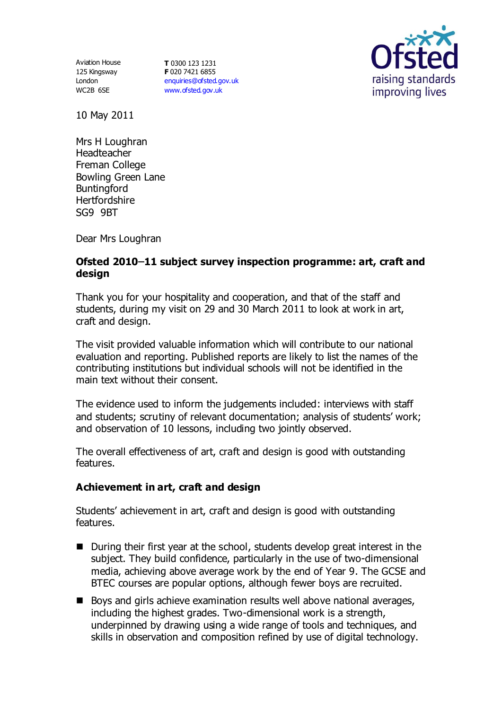125 Kingsway London WC2B 6SE

Aviation House **T** 0300 123 1231 **F** 020 7421 6855 [enquiries@ofsted.gov.uk](mailto:enquiries@ofsted.gov.uk) [www.ofsted.gov.uk](http://www.ofsted.gov.uk/)



10 May 2011

Mrs H Loughran Headteacher Freman College Bowling Green Lane Buntingford **Hertfordshire** SG9 9BT

Dear Mrs Loughran

## **Ofsted 2010 11 subject survey inspection programme: art, craft and design**

Thank you for your hospitality and cooperation, and that of the staff and students, during my visit on 29 and 30 March 2011 to look at work in art, craft and design.

The visit provided valuable information which will contribute to our national evaluation and reporting. Published reports are likely to list the names of the contributing institutions but individual schools will not be identified in the main text without their consent.

The evidence used to inform the judgements included: interviews with staff and students; scrutiny of relevant documentation; analysis of students' work; and observation of 10 lessons, including two jointly observed.

The overall effectiveness of art, craft and design is good with outstanding features.

## **Achievement in art, craft and design**

Students' achievement in art, craft and design is good with outstanding features.

- During their first year at the school, students develop great interest in the subject. They build confidence, particularly in the use of two-dimensional media, achieving above average work by the end of Year 9. The GCSE and BTEC courses are popular options, although fewer boys are recruited.
- Boys and girls achieve examination results well above national averages, including the highest grades. Two-dimensional work is a strength, underpinned by drawing using a wide range of tools and techniques, and skills in observation and composition refined by use of digital technology.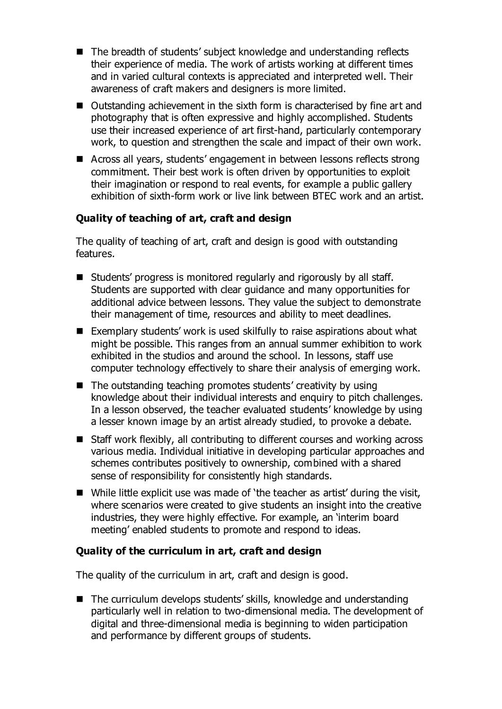- The breadth of students' subject knowledge and understanding reflects their experience of media. The work of artists working at different times and in varied cultural contexts is appreciated and interpreted well. Their awareness of craft makers and designers is more limited.
- Outstanding achievement in the sixth form is characterised by fine art and photography that is often expressive and highly accomplished. Students use their increased experience of art first-hand, particularly contemporary work, to question and strengthen the scale and impact of their own work.
- Across all years, students' engagement in between lessons reflects strong commitment. Their best work is often driven by opportunities to exploit their imagination or respond to real events, for example a public gallery exhibition of sixth-form work or live link between BTEC work and an artist.

# **Quality of teaching of art, craft and design**

The quality of teaching of art, craft and design is good with outstanding features.

- Students' progress is monitored regularly and rigorously by all staff. Students are supported with clear guidance and many opportunities for additional advice between lessons. They value the subject to demonstrate their management of time, resources and ability to meet deadlines.
- Exemplary students' work is used skilfully to raise aspirations about what might be possible. This ranges from an annual summer exhibition to work exhibited in the studios and around the school. In lessons, staff use computer technology effectively to share their analysis of emerging work.
- $\blacksquare$  The outstanding teaching promotes students' creativity by using knowledge about their individual interests and enquiry to pitch challenges. In a lesson observed, the teacher evaluated students' knowledge by using a lesser known image by an artist already studied, to provoke a debate.
- Staff work flexibly, all contributing to different courses and working across various media. Individual initiative in developing particular approaches and schemes contributes positively to ownership, combined with a shared sense of responsibility for consistently high standards.
- While little explicit use was made of 'the teacher as artist' during the visit, where scenarios were created to give students an insight into the creative industries, they were highly effective. For example, an 'interim board meeting' enabled students to promote and respond to ideas.

# **Quality of the curriculum in art, craft and design**

The quality of the curriculum in art, craft and design is good.

■ The curriculum develops students' skills, knowledge and understanding particularly well in relation to two-dimensional media. The development of digital and three-dimensional media is beginning to widen participation and performance by different groups of students.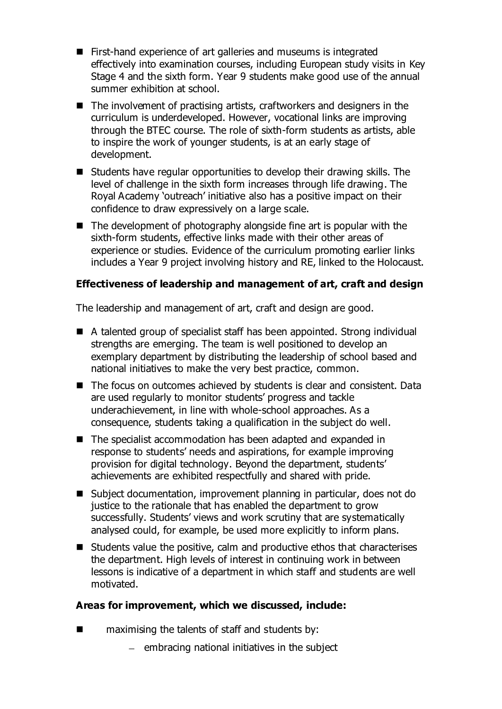- First-hand experience of art galleries and museums is integrated effectively into examination courses, including European study visits in Key Stage 4 and the sixth form. Year 9 students make good use of the annual summer exhibition at school.
- $\blacksquare$  The involvement of practising artists, craftworkers and designers in the curriculum is underdeveloped. However, vocational links are improving through the BTEC course. The role of sixth-form students as artists, able to inspire the work of younger students, is at an early stage of development.
- Students have regular opportunities to develop their drawing skills. The level of challenge in the sixth form increases through life drawing. The Royal Academy 'outreach' initiative also has a positive impact on their confidence to draw expressively on a large scale.
- $\blacksquare$  The development of photography alongside fine art is popular with the sixth-form students, effective links made with their other areas of experience or studies. Evidence of the curriculum promoting earlier links includes a Year 9 project involving history and RE, linked to the Holocaust.

## **Effectiveness of leadership and management of art, craft and design**

The leadership and management of art, craft and design are good.

- A talented group of specialist staff has been appointed. Strong individual strengths are emerging. The team is well positioned to develop an exemplary department by distributing the leadership of school based and national initiatives to make the very best practice, common.
- The focus on outcomes achieved by students is clear and consistent. Data are used regularly to monitor students' progress and tackle underachievement, in line with whole-school approaches. As a consequence, students taking a qualification in the subject do well.
- The specialist accommodation has been adapted and expanded in response to students' needs and aspirations, for example improving provision for digital technology. Beyond the department, students' achievements are exhibited respectfully and shared with pride.
- Subject documentation, improvement planning in particular, does not do justice to the rationale that has enabled the department to grow successfully. Students' views and work scrutiny that are systematically analysed could, for example, be used more explicitly to inform plans.
- $\blacksquare$  Students value the positive, calm and productive ethos that characterises the department. High levels of interest in continuing work in between lessons is indicative of a department in which staff and students are well motivated.

## **Areas for improvement, which we discussed, include:**

- $\blacksquare$  maximising the talents of staff and students by:
	- $-$  embracing national initiatives in the subject